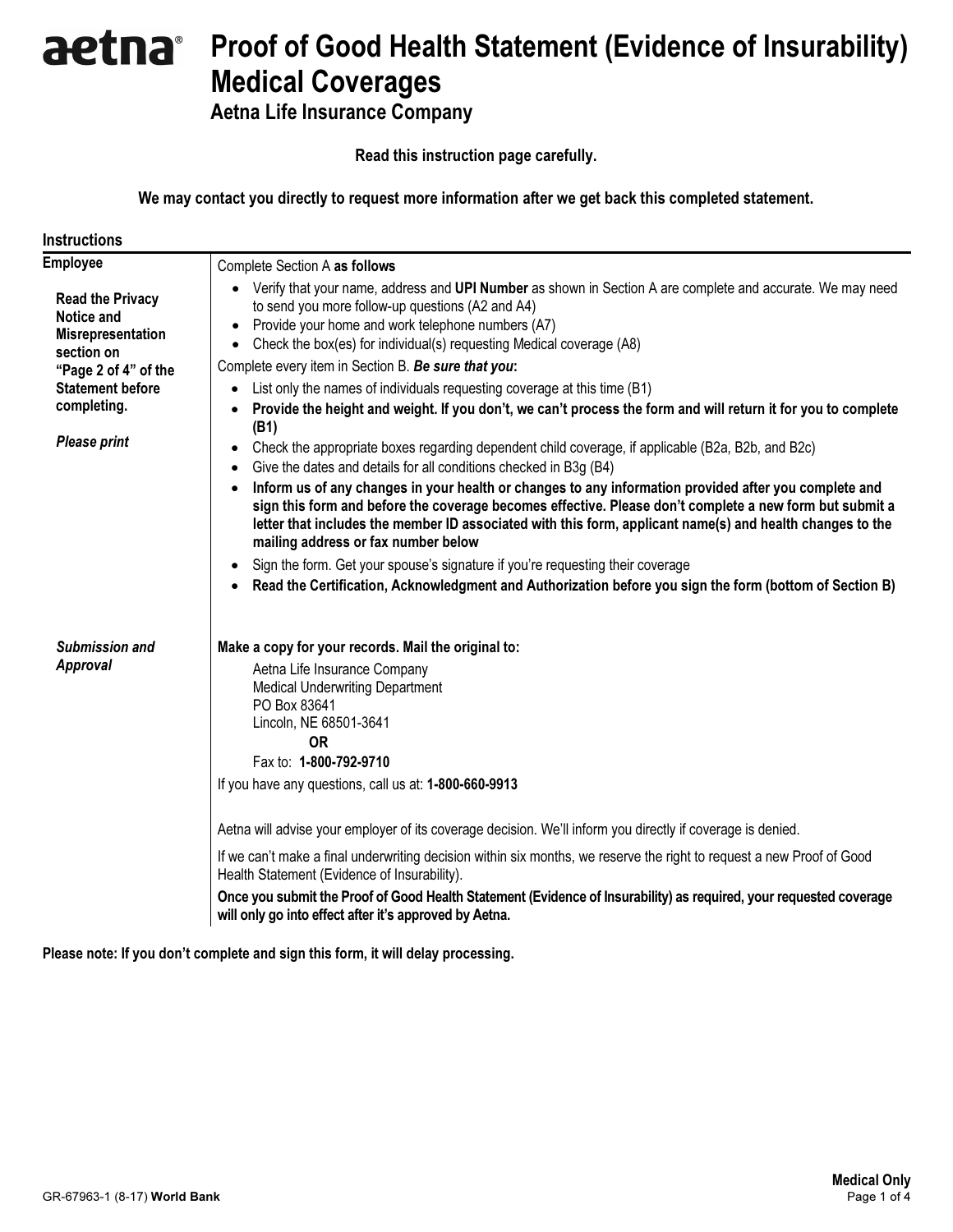# aetna Proof of Good Health Statement (Evidence of Insurability) Medical Coverages

Aetna Life Insurance Company

Read this instruction page carefully.

We may contact you directly to request more information after we get back this completed statement.

| <b>Instructions</b>                                                                                                                       |                                                                                                                                                                                                                                                                                                                                                                                                                                                                                                                                                                                                                                                                                                                                                                                                      |  |  |  |  |  |
|-------------------------------------------------------------------------------------------------------------------------------------------|------------------------------------------------------------------------------------------------------------------------------------------------------------------------------------------------------------------------------------------------------------------------------------------------------------------------------------------------------------------------------------------------------------------------------------------------------------------------------------------------------------------------------------------------------------------------------------------------------------------------------------------------------------------------------------------------------------------------------------------------------------------------------------------------------|--|--|--|--|--|
| <b>Employee</b>                                                                                                                           | Complete Section A as follows                                                                                                                                                                                                                                                                                                                                                                                                                                                                                                                                                                                                                                                                                                                                                                        |  |  |  |  |  |
| <b>Read the Privacy</b><br><b>Notice and</b><br><b>Misrepresentation</b><br>section on<br>"Page 2 of 4" of the<br><b>Statement before</b> | Verify that your name, address and UPI Number as shown in Section A are complete and accurate. We may need<br>to send you more follow-up questions (A2 and A4)<br>Provide your home and work telephone numbers (A7)<br>$\bullet$<br>Check the box(es) for individual(s) requesting Medical coverage (A8)<br>$\bullet$<br>Complete every item in Section B. Be sure that you:                                                                                                                                                                                                                                                                                                                                                                                                                         |  |  |  |  |  |
| completing.                                                                                                                               | List only the names of individuals requesting coverage at this time (B1)<br>Provide the height and weight. If you don't, we can't process the form and will return it for you to complete<br>(B1)                                                                                                                                                                                                                                                                                                                                                                                                                                                                                                                                                                                                    |  |  |  |  |  |
| <b>Please print</b>                                                                                                                       | Check the appropriate boxes regarding dependent child coverage, if applicable (B2a, B2b, and B2c)<br>٠<br>Give the dates and details for all conditions checked in B3g (B4)<br>$\bullet$<br>Inform us of any changes in your health or changes to any information provided after you complete and<br>$\bullet$<br>sign this form and before the coverage becomes effective. Please don't complete a new form but submit a<br>letter that includes the member ID associated with this form, applicant name(s) and health changes to the<br>mailing address or fax number below<br>Sign the form. Get your spouse's signature if you're requesting their coverage<br>$\bullet$<br>Read the Certification, Acknowledgment and Authorization before you sign the form (bottom of Section B)<br>$\bullet$ |  |  |  |  |  |
| Submission and                                                                                                                            | Make a copy for your records. Mail the original to:                                                                                                                                                                                                                                                                                                                                                                                                                                                                                                                                                                                                                                                                                                                                                  |  |  |  |  |  |
| <b>Approval</b>                                                                                                                           | Aetna Life Insurance Company<br><b>Medical Underwriting Department</b><br>PO Box 83641<br>Lincoln, NE 68501-3641<br><b>OR</b><br>Fax to: 1-800-792-9710<br>If you have any questions, call us at: 1-800-660-9913                                                                                                                                                                                                                                                                                                                                                                                                                                                                                                                                                                                     |  |  |  |  |  |
|                                                                                                                                           | Aetna will advise your employer of its coverage decision. We'll inform you directly if coverage is denied.                                                                                                                                                                                                                                                                                                                                                                                                                                                                                                                                                                                                                                                                                           |  |  |  |  |  |
|                                                                                                                                           | If we can't make a final underwriting decision within six months, we reserve the right to request a new Proof of Good<br>Health Statement (Evidence of Insurability).                                                                                                                                                                                                                                                                                                                                                                                                                                                                                                                                                                                                                                |  |  |  |  |  |
|                                                                                                                                           | Once you submit the Proof of Good Health Statement (Evidence of Insurability) as required, your requested coverage<br>will only go into effect after it's approved by Aetna.                                                                                                                                                                                                                                                                                                                                                                                                                                                                                                                                                                                                                         |  |  |  |  |  |

Please note: If you don't complete and sign this form, it will delay processing.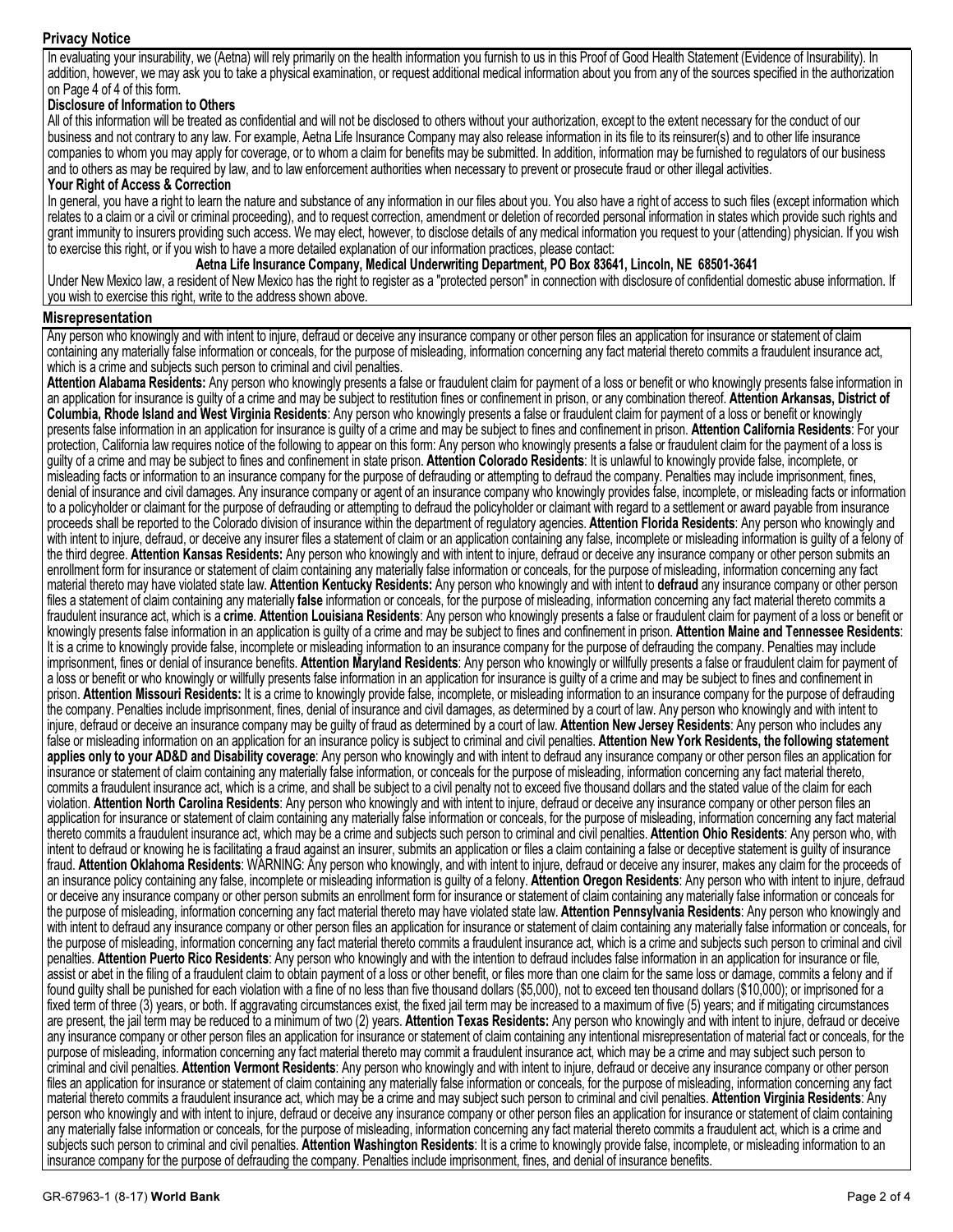## Privacy Notice

In evaluating your insurability, we (Aetna) will rely primarily on the health information you furnish to us in this Proof of Good Health Statement (Evidence of Insurability). In addition, however, we may ask you to take a physical examination, or request additional medical information about you from any of the sources specified in the authorization on Page 4 of 4 of this form.

## Disclosure of Information to Others

All of this information will be treated as confidential and will not be disclosed to others without your authorization, except to the extent necessary for the conduct of our business and not contrary to any law. For example, Aetna Life Insurance Company may also release information in its file to its reinsurer(s) and to other life insurance companies to whom you may apply for coverage, or to whom a claim for benefits may be submitted. In addition, information may be furnished to regulators of our business and to others as may be required by law, and to law enforcement authorities when necessary to prevent or prosecute fraud or other illegal activities.

#### Your Right of Access & Correction

In general, you have a right to learn the nature and substance of any information in our files about you. You also have a right of access to such files (except information which relates to a claim or a civil or criminal proceeding), and to request correction, amendment or deletion of recorded personal information in states which provide such rights and grant immunity to insurers providing such access. We may elect, however, to disclose details of any medical information you request to your (attending) physician. If you wish to exercise this right, or if you wish to have a more detailed explanation of our information practices, please contact:

## Aetna Life Insurance Company, Medical Underwriting Department, PO Box 83641, Lincoln, NE 68501-3641

Under New Mexico law, a resident of New Mexico has the right to register as a "protected person" in connection with disclosure of confidential domestic abuse information. If you wish to exercise this right, write to the address shown above.

#### Misrepresentation

Any person who knowingly and with intent to injure, defraud or deceive any insurance company or other person files an application for insurance or statement of claim containing any materially false information or conceals, for the purpose of misleading, information concerning any fact material thereto commits a fraudulent insurance act, which is a crime and subjects such person to criminal and civil penalties.

Attention Alabama Residents: Any person who knowingly presents a false or fraudulent claim for payment of a loss or benefit or who knowingly presents false information in an application for insurance is guilty of a crime and may be subject to restitution fines or confinement in prison, or any combination thereof. Attention Arkansas, District of Columbia, Rhode Island and West Virginia Residents: Any person who knowingly presents a false or fraudulent claim for payment of a loss or benefit or knowingly presents false information in an application for insurance is guilty of a crime and may be subject to fines and confinement in prison. Attention California Residents: For your protection, California law requires notice of the following to appear on this form: Any person who knowingly presents a false or fraudulent claim for the payment of a loss is guilty of a crime and may be subject to fines and confinement in state prison. Attention Colorado Residents: It is unlawful to knowingly provide false, incomplete, or misleading facts or information to an insurance company for the purpose of defrauding or attempting to defraud the company. Penalties may include imprisonment, fines, denial of insurance and civil damages. Any insurance company or agent of an insurance company who knowingly provides false, incomplete, or misleading facts or information to a policyholder or claimant for the purpose of defrauding or attempting to defraud the policyholder or claimant with regard to a settlement or award payable from insurance proceeds shall be reported to the Colorado division of insurance within the department of regulatory agencies. Attention Florida Residents: Any person who knowingly and with intent to injure, defraud, or deceive any insurer files a statement of claim or an application containing any false, incomplete or misleading information is guilty of a felony of the third degree. Attention Kansas Residents: Any person who knowingly and with intent to injure, defraud or deceive any insurance company or other person submits an enrollment form for insurance or statement of claim containing any materially false information or conceals, for the purpose of misleading, information concerning any fact material thereto may have violated state law. Attention Kentucky Residents: Any person who knowingly and with intent to defraud any insurance company or other person files a statement of claim containing any materially false information or conceals, for the purpose of misleading, information concerning any fact material thereto commits a fraudulent insurance act, which is a **crime. Attention Louisiana Residents**: Any person who knowingly presents a false or fraudulent claim for payment of a loss or benefit or knowingly presents false information in an application is guilty of a crime and may be subject to fines and confinement in prison. Attention Maine and Tennessee Residents: It is a crime to knowingly provide false, incomplete or misleading information to an insurance company for the purpose of defrauding the company. Penalties may include imprisonment, fines or denial of insurance benefits. Attention Maryland Residents: Any person who knowingly or willfully presents a false or fraudulent claim for payment of a loss or benefit or who knowingly or willfully presents false information in an application for insurance is guilty of a crime and may be subject to fines and confinement in prison. Attention Missouri Residents: It is a crime to knowingly provide false, incomplete, or misleading information to an insurance company for the purpose of defrauding the company. Penalties include imprisonment, fines, denial of insurance and civil damages, as determined by a court of law. Any person who knowingly and with intent to injure, defraud or deceive an insurance company may be guilty of fraud as determined by a court of law. Attention New Jersey Residents: Any person who includes any false or misleading information on an application for an insurance policy is subject to criminal and civil penalties. Attention New York Residents, the following statement applies only to your AD&D and Disability coverage: Any person who knowingly and with intent to defraud any insurance company or other person files an application for insurance or statement of claim containing any materially false information, or conceals for the purpose of misleading, information concerning any fact material thereto, commits a fraudulent insurance act, which is a crime, and shall be subject to a civil penalty not to exceed five thousand dollars and the stated value of the claim for each violation. Attention North Carolina Residents: Any person who knowingly and with intent to injure, defraud or deceive any insurance company or other person files an application for insurance or statement of claim containing any materially false information or conceals, for the purpose of misleading, information concerning any fact material thereto commits a fraudulent insurance act, which may be a crime and subjects such person to criminal and civil penalties. Attention Ohio Residents: Any person who, with intent to defraud or knowing he is facilitating a fraud against an insurer, submits an application or files a claim containing a false or deceptive statement is guilty of insurance fraud. Attention Oklahoma Residents: WARNING: Any person who knowingly, and with intent to injure, defraud or deceive any insurer, makes any claim for the proceeds of an insurance policy containing any false, incomplete or misleading information is guilty of a felony. Attention Oregon Residents: Any person who with intent to injure, defraud or deceive any insurance company or other person submits an enrollment form for insurance or statement of claim containing any materially false information or conceals for the purpose of misleading, information concerning any fact material thereto may have violated state law. Attention Pennsylvania Residents: Any person who knowingly and with intent to defraud any insurance company or other person files an application for insurance or statement of claim containing any materially false information or conceals, for the purpose of misleading, information concerning any fact material thereto commits a fraudulent insurance act, which is a crime and subjects such person to criminal and civil penalties. Attention Puerto Rico Residents: Any person who knowingly and with the intention to defraud includes false information in an application for insurance or file, assist or abet in the filing of a fraudulent claim to obtain payment of a loss or other benefit, or files more than one claim for the same loss or damage, commits a felony and if found guilty shall be punished for each violation with a fine of no less than five thousand dollars (\$5,000), not to exceed ten thousand dollars (\$10,000); or imprisoned for a fixed term of three (3) years, or both. If aggravating circumstances exist, the fixed jail term may be increased to a maximum of five (5) years; and if mitigating circumstances are present, the jail term may be reduced to a minimum of two (2) years. Attention Texas Residents: Any person who knowingly and with intent to injure, defraud or deceive any insurance company or other person files an application for insurance or statement of claim containing any intentional misrepresentation of material fact or conceals, for the purpose of misleading, information concerning any fact material thereto may commit a fraudulent insurance act, which may be a crime and may subject such person to criminal and civil penalties. Attention Vermont Residents: Any person who knowingly and with intent to injure, defraud or deceive any insurance company or other person files an application for insurance or statement of claim containing any materially false information or conceals, for the purpose of misleading, information concerning any fact material thereto commits a fraudulent insurance act, which may be a crime and may subject such person to criminal and civil penalties. Attention Virginia Residents: Any person who knowingly and with intent to injure, defraud or deceive any insurance company or other person files an application for insurance or statement of claim containing any materially false information or conceals, for the purpose of misleading, information concerning any fact material thereto commits a fraudulent act, which is a crime and subjects such person to criminal and civil penalties. Attention Washington Residents: It is a crime to knowingly provide false, incomplete, or misleading information to an insurance company for the purpose of defrauding the company. Penalties include imprisonment, fines, and denial of insurance benefits.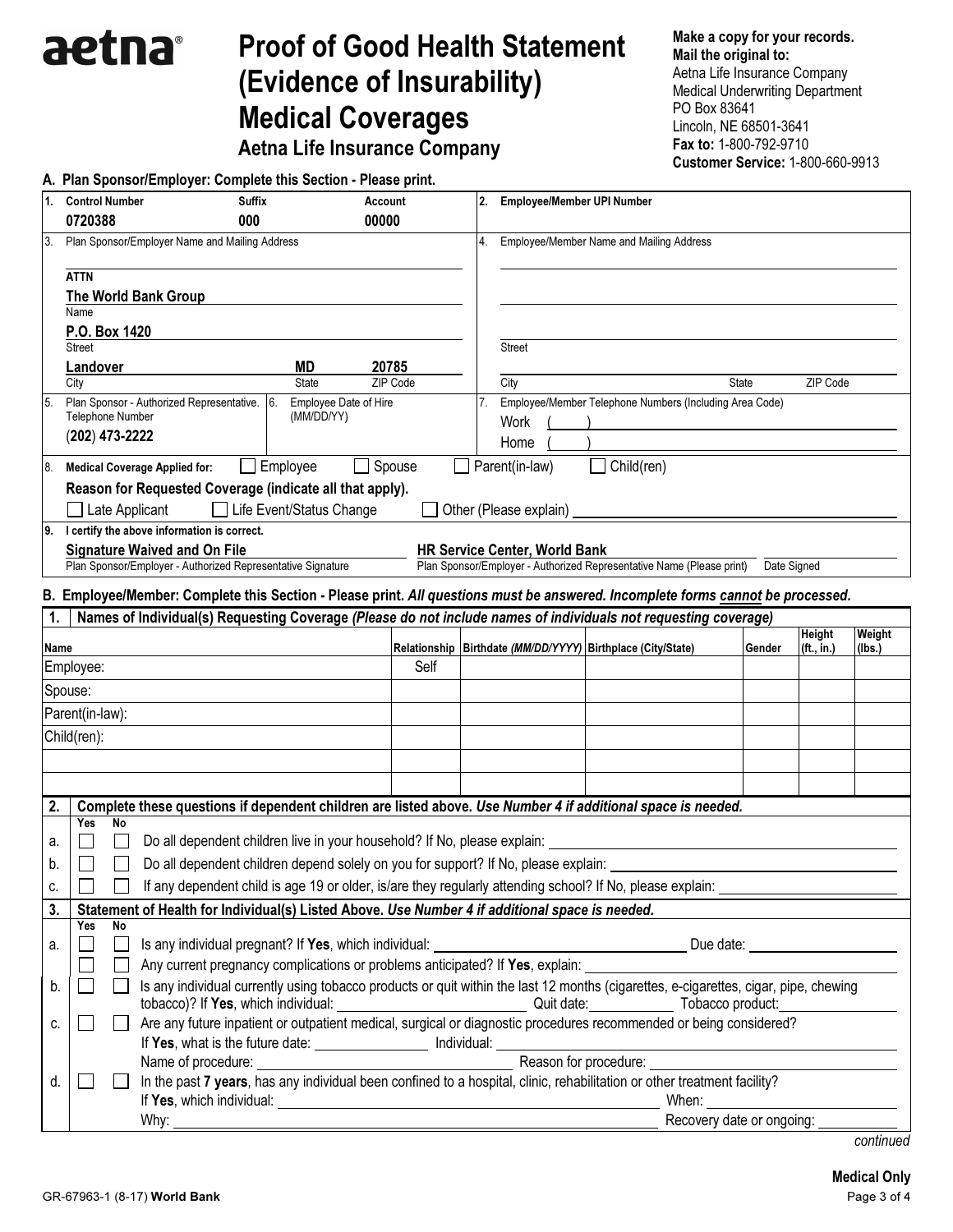## Proof of Good Health Statement (Evidence of Insurability) Medical Coverages

Aetna Life Insurance Company

Make a copy for your records. Mail the original to: Aetna Life Insurance Company Medical Underwriting Department PO Box 83641 Lincoln, NE 68501-3641 Fax to: 1-800-792-9710 Customer Service: 1-800-660-9913

|      |                                                                                    | A. Plan Sponsor/Employer: Complete this Section - Please print.                                                                                                                                                                      |                                                                          |          |  |                                         |                                                                                                                                                                                                                                |                           |                                         |        |
|------|------------------------------------------------------------------------------------|--------------------------------------------------------------------------------------------------------------------------------------------------------------------------------------------------------------------------------------|--------------------------------------------------------------------------|----------|--|-----------------------------------------|--------------------------------------------------------------------------------------------------------------------------------------------------------------------------------------------------------------------------------|---------------------------|-----------------------------------------|--------|
| 1.   | <b>Control Number</b>                                                              | <b>Suffix</b>                                                                                                                                                                                                                        | Account                                                                  |          |  | <b>Employee/Member UPI Number</b><br>2. |                                                                                                                                                                                                                                |                           |                                         |        |
|      | 0720388                                                                            | 000                                                                                                                                                                                                                                  | 00000                                                                    |          |  |                                         |                                                                                                                                                                                                                                |                           |                                         |        |
| 3.   |                                                                                    | Plan Sponsor/Employer Name and Mailing Address                                                                                                                                                                                       |                                                                          |          |  |                                         | 4. Employee/Member Name and Mailing Address                                                                                                                                                                                    |                           |                                         |        |
|      | <b>ATTN</b>                                                                        |                                                                                                                                                                                                                                      |                                                                          |          |  |                                         |                                                                                                                                                                                                                                |                           |                                         |        |
|      |                                                                                    | <b>The World Bank Group</b>                                                                                                                                                                                                          |                                                                          |          |  |                                         |                                                                                                                                                                                                                                |                           |                                         |        |
|      | Name                                                                               |                                                                                                                                                                                                                                      |                                                                          |          |  |                                         |                                                                                                                                                                                                                                |                           |                                         |        |
|      | P.O. Box 1420<br><b>Street</b>                                                     |                                                                                                                                                                                                                                      |                                                                          |          |  | <b>Street</b>                           |                                                                                                                                                                                                                                |                           |                                         |        |
|      | Landover                                                                           |                                                                                                                                                                                                                                      | MD                                                                       | 20785    |  |                                         |                                                                                                                                                                                                                                |                           |                                         |        |
|      | City                                                                               |                                                                                                                                                                                                                                      | <b>State</b>                                                             | ZIP Code |  | City                                    |                                                                                                                                                                                                                                | <b>State</b>              | ZIP Code                                |        |
| 5.   |                                                                                    | Plan Sponsor - Authorized Representative.                                                                                                                                                                                            | Employee Date of Hire<br>6.                                              |          |  | 7.                                      | Employee/Member Telephone Numbers (Including Area Code)                                                                                                                                                                        |                           |                                         |        |
|      | Telephone Number                                                                   |                                                                                                                                                                                                                                      | (MM/DD/YY)                                                               |          |  | Work                                    |                                                                                                                                                                                                                                |                           |                                         |        |
|      | $(202)$ 473-2222                                                                   |                                                                                                                                                                                                                                      |                                                                          |          |  | Home                                    |                                                                                                                                                                                                                                |                           |                                         |        |
| 8.   |                                                                                    | <b>Medical Coverage Applied for:</b>                                                                                                                                                                                                 | $\Box$ Employee                                                          | Spouse   |  | Parent(in-law)                          | Child(ren)                                                                                                                                                                                                                     |                           |                                         |        |
|      |                                                                                    | Reason for Requested Coverage (indicate all that apply).                                                                                                                                                                             |                                                                          |          |  |                                         |                                                                                                                                                                                                                                |                           |                                         |        |
|      | Late Applicant                                                                     |                                                                                                                                                                                                                                      | □ Life Event/Status Change                                               |          |  | Other (Please explain)                  |                                                                                                                                                                                                                                |                           |                                         |        |
|      |                                                                                    | 9. I certify the above information is correct.                                                                                                                                                                                       |                                                                          |          |  |                                         |                                                                                                                                                                                                                                |                           |                                         |        |
|      |                                                                                    | <b>Signature Waived and On File</b>                                                                                                                                                                                                  |                                                                          |          |  | <b>HR Service Center, World Bank</b>    |                                                                                                                                                                                                                                |                           |                                         |        |
|      |                                                                                    | Plan Sponsor/Employer - Authorized Representative Signature                                                                                                                                                                          |                                                                          |          |  |                                         | Plan Sponsor/Employer - Authorized Representative Name (Please print)                                                                                                                                                          | Date Signed               |                                         |        |
|      |                                                                                    |                                                                                                                                                                                                                                      |                                                                          |          |  |                                         | B. Employee/Member: Complete this Section - Please print. All questions must be answered. Incomplete forms cannot be processed.                                                                                                |                           |                                         |        |
| 1.   |                                                                                    |                                                                                                                                                                                                                                      |                                                                          |          |  |                                         | Names of Individual(s) Requesting Coverage (Please do not include names of individuals not requesting coverage)                                                                                                                |                           |                                         |        |
|      |                                                                                    |                                                                                                                                                                                                                                      |                                                                          |          |  |                                         | Relationship   Birthdate (MM/DD/YYYY)   Birthplace (City/State)                                                                                                                                                                |                           | Height                                  | Weight |
| Name | Employee:                                                                          |                                                                                                                                                                                                                                      |                                                                          | Self     |  |                                         |                                                                                                                                                                                                                                | Gender                    | (ft., in.)                              | (Ibs.) |
|      |                                                                                    |                                                                                                                                                                                                                                      |                                                                          |          |  |                                         |                                                                                                                                                                                                                                |                           |                                         |        |
|      | Spouse:                                                                            |                                                                                                                                                                                                                                      |                                                                          |          |  |                                         |                                                                                                                                                                                                                                |                           |                                         |        |
|      | Parent(in-law):                                                                    |                                                                                                                                                                                                                                      |                                                                          |          |  |                                         |                                                                                                                                                                                                                                |                           |                                         |        |
|      | Child(ren):                                                                        |                                                                                                                                                                                                                                      |                                                                          |          |  |                                         |                                                                                                                                                                                                                                |                           |                                         |        |
|      |                                                                                    |                                                                                                                                                                                                                                      |                                                                          |          |  |                                         |                                                                                                                                                                                                                                |                           |                                         |        |
|      |                                                                                    |                                                                                                                                                                                                                                      |                                                                          |          |  |                                         |                                                                                                                                                                                                                                |                           |                                         |        |
| 2.   |                                                                                    |                                                                                                                                                                                                                                      |                                                                          |          |  |                                         | Complete these questions if dependent children are listed above. Use Number 4 if additional space is needed.                                                                                                                   |                           |                                         |        |
|      | Yes<br>No                                                                          |                                                                                                                                                                                                                                      |                                                                          |          |  |                                         |                                                                                                                                                                                                                                |                           |                                         |        |
| а.   |                                                                                    |                                                                                                                                                                                                                                      | Do all dependent children live in your household? If No, please explain: |          |  |                                         |                                                                                                                                                                                                                                |                           |                                         |        |
| b.   | Do all dependent children depend solely on you for support? If No, please explain: |                                                                                                                                                                                                                                      |                                                                          |          |  |                                         |                                                                                                                                                                                                                                |                           |                                         |        |
| C.   |                                                                                    |                                                                                                                                                                                                                                      |                                                                          |          |  |                                         | If any dependent child is age 19 or older, is/are they regularly attending school? If No, please explain:                                                                                                                      |                           |                                         |        |
| 3.   |                                                                                    | Statement of Health for Individual(s) Listed Above. Use Number 4 if additional space is needed.                                                                                                                                      |                                                                          |          |  |                                         |                                                                                                                                                                                                                                |                           |                                         |        |
|      | No<br>Yes                                                                          |                                                                                                                                                                                                                                      |                                                                          |          |  |                                         |                                                                                                                                                                                                                                |                           |                                         |        |
| a.   |                                                                                    | Is any individual pregnant? If Yes, which individual:                                                                                                                                                                                |                                                                          |          |  |                                         |                                                                                                                                                                                                                                | Due date:                 | <u> 1989 - Johann Barbara, martxa a</u> |        |
|      |                                                                                    | Any current pregnancy complications or problems anticipated? If Yes, explain:                                                                                                                                                        |                                                                          |          |  |                                         |                                                                                                                                                                                                                                |                           |                                         |        |
| b.   |                                                                                    |                                                                                                                                                                                                                                      |                                                                          |          |  |                                         | Is any individual currently using tobacco products or quit within the last 12 months (cigarettes, e-cigarettes, cigar, pipe, chewing                                                                                           |                           |                                         |        |
| c.   |                                                                                    |                                                                                                                                                                                                                                      |                                                                          |          |  |                                         |                                                                                                                                                                                                                                |                           |                                         |        |
|      |                                                                                    | If Yes, what is the future date: ____________________ Individual: ______________                                                                                                                                                     |                                                                          |          |  |                                         |                                                                                                                                                                                                                                |                           |                                         |        |
|      |                                                                                    | Name of procedure:                                                                                                                                                                                                                   |                                                                          |          |  |                                         | Reason for procedure: Note that the state of the state of the state of the state of the state of the state of the state of the state of the state of the state of the state of the state of the state of the state of the stat |                           |                                         |        |
| d.   |                                                                                    |                                                                                                                                                                                                                                      |                                                                          |          |  |                                         | In the past 7 years, has any individual been confined to a hospital, clinic, rehabilitation or other treatment facility?                                                                                                       |                           |                                         |        |
|      |                                                                                    | If Yes, which individual: interventional contract of the set of the set of the set of the set of the set of the                                                                                                                      |                                                                          |          |  |                                         | When:                                                                                                                                                                                                                          |                           |                                         |        |
|      |                                                                                    | Why: <u>the contract of the contract of the contract of the contract of the contract of the contract of the contract of the contract of the contract of the contract of the contract of the contract of the contract of the cont</u> |                                                                          |          |  |                                         |                                                                                                                                                                                                                                | Recovery date or ongoing: |                                         |        |

aetna